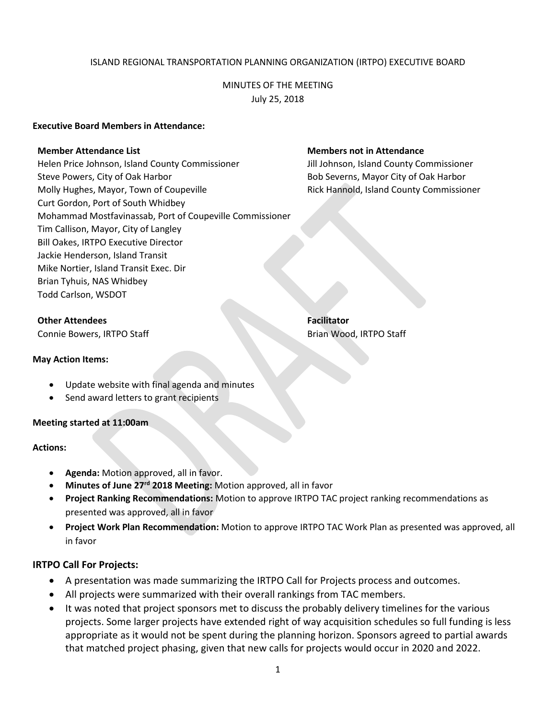## ISLAND REGIONAL TRANSPORTATION PLANNING ORGANIZATION (IRTPO) EXECUTIVE BOARD

# MINUTES OF THE MEETING July 25, 2018

## **Executive Board Members in Attendance:**

Helen Price Johnson, Island County Commissioner Jill Johnson, Island County Commissioner Steve Powers, City of Oak Harbor **Bob Severns, Mayor City of Oak Harbor** Bob Severns, Mayor City of Oak Harbor Molly Hughes, Mayor, Town of Coupeville **Rick Hannold, Island County Commissioner** Curt Gordon, Port of South Whidbey Mohammad Mostfavinassab, Port of Coupeville Commissioner Tim Callison, Mayor, City of Langley Bill Oakes, IRTPO Executive Director Jackie Henderson, Island Transit Mike Nortier, Island Transit Exec. Dir Brian Tyhuis, NAS Whidbey Todd Carlson, WSDOT

## **Other Attendees Facilitator**

Connie Bowers, IRTPO Staff Brian Wood, IRTPO Staff Brian Wood, IRTPO Staff

#### **May Action Items:**

- Update website with final agenda and minutes
- Send award letters to grant recipients

## **Meeting started at 11:00am**

#### **Actions:**

- **Agenda:** Motion approved, all in favor.
- **Minutes of June 27rd 2018 Meeting:** Motion approved, all in favor
- **Project Ranking Recommendations:** Motion to approve IRTPO TAC project ranking recommendations as presented was approved, all in favor
- **Project Work Plan Recommendation:** Motion to approve IRTPO TAC Work Plan as presented was approved, all in favor

## **IRTPO Call For Projects:**

- A presentation was made summarizing the IRTPO Call for Projects process and outcomes.
- All projects were summarized with their overall rankings from TAC members.
- It was noted that project sponsors met to discuss the probably delivery timelines for the various projects. Some larger projects have extended right of way acquisition schedules so full funding is less appropriate as it would not be spent during the planning horizon. Sponsors agreed to partial awards that matched project phasing, given that new calls for projects would occur in 2020 and 2022.

## **Member Attendance List Members not in Attendance**